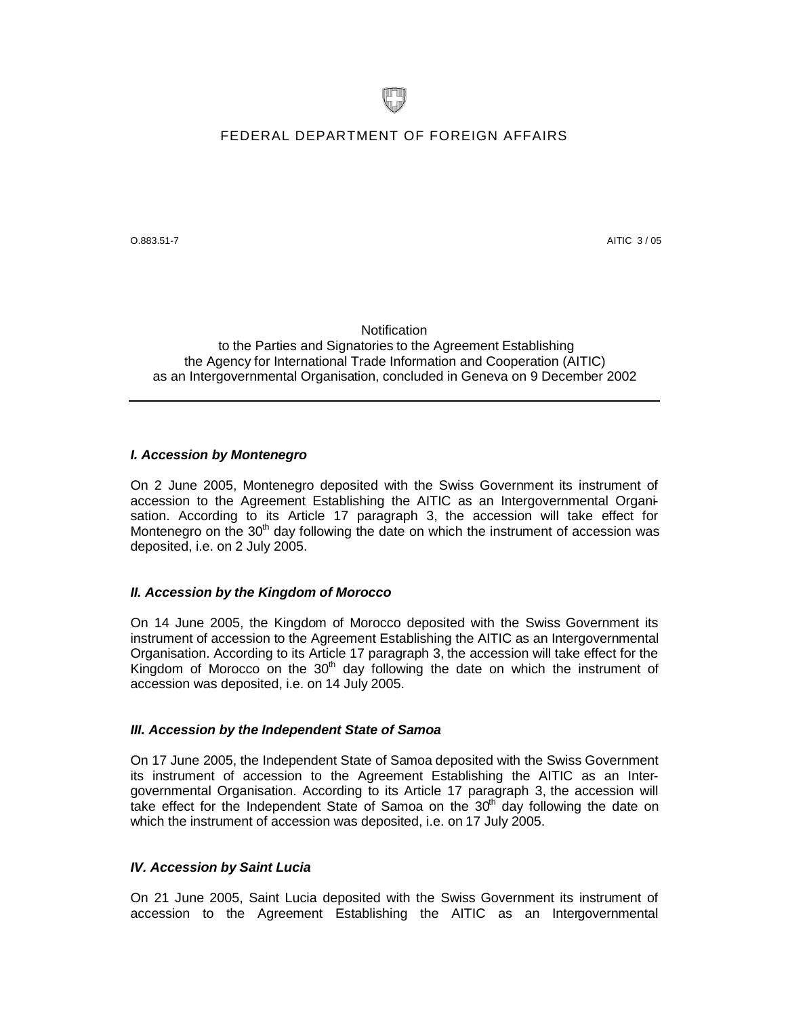

# FEDERAL DEPARTMENT OF FOREIGN AFFAIRS

 $O.883.51-7$  AITIC 3 / 05

**Notification** to the Parties and Signatories to the Agreement Establishing the Agency for International Trade Information and Cooperation (AITIC) as an Intergovernmental Organisation, concluded in Geneva on 9 December 2002

## *I. Accession by Montenegro*

On 2 June 2005, Montenegro deposited with the Swiss Government its instrument of accession to the Agreement Establishing the AITIC as an Intergovernmental Organisation. According to its Article 17 paragraph 3, the accession will take effect for Montenegro on the  $30<sup>th</sup>$  day following the date on which the instrument of accession was deposited, i.e. on 2 July 2005.

# *II. Accession by the Kingdom of Morocco*

On 14 June 2005, the Kingdom of Morocco deposited with the Swiss Government its instrument of accession to the Agreement Establishing the AITIC as an Intergovernmental Organisation. According to its Article 17 paragraph 3, the accession will take effect for the Kingdom of Morocco on the  $30<sup>th</sup>$  day following the date on which the instrument of accession was deposited, i.e. on 14 July 2005.

#### *III. Accession by the Independent State of Samoa*

On 17 June 2005, the Independent State of Samoa deposited with the Swiss Government its instrument of accession to the Agreement Establishing the AITIC as an Intergovernmental Organisation. According to its Article 17 paragraph 3, the accession will take effect for the Independent State of Samoa on the 30<sup>th</sup> day following the date on which the instrument of accession was deposited, i.e. on 17 July 2005.

## *IV. Accession by Saint Lucia*

On 21 June 2005, Saint Lucia deposited with the Swiss Government its instrument of accession to the Agreement Establishing the AITIC as an Intergovernmental